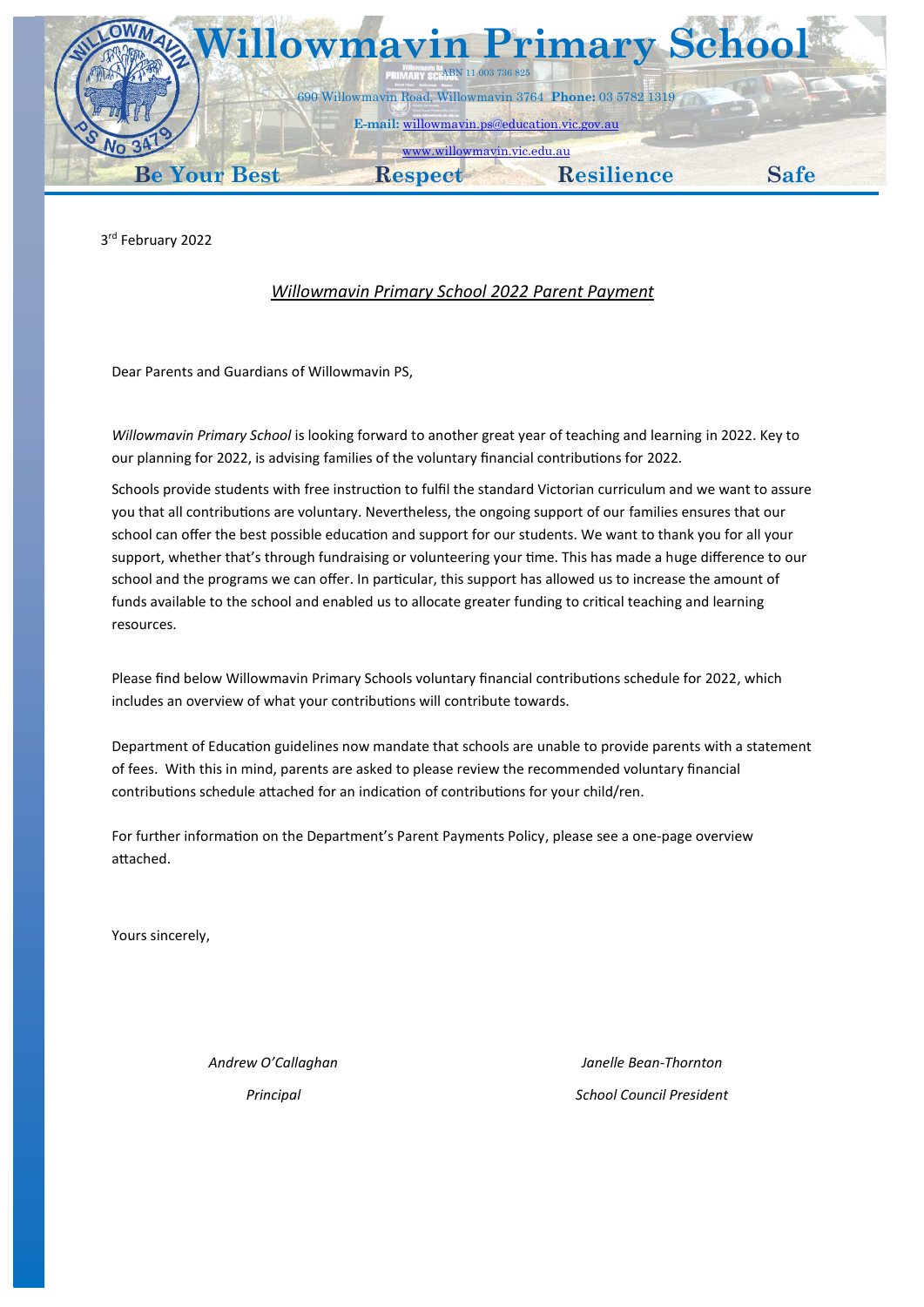

3 rd February 2022

## *Willowmavin Primary School 2022 Parent Payment*

Dear Parents and Guardians of Willowmavin PS,

*Willowmavin Primary School* is looking forward to another great year of teaching and learning in 2022. Key to our planning for 2022, is advising families of the voluntary financial contributions for 2022*.*

Schools provide students with free instruction to fulfil the standard Victorian curriculum and we want to assure you that all contributions are voluntary. Nevertheless, the ongoing support of our families ensures that our school can offer the best possible education and support for our students. We want to thank you for all your support, whether that's through fundraising or volunteering your time. This has made a huge difference to our school and the programs we can offer. In particular, this support has allowed us to increase the amount of funds available to the school and enabled us to allocate greater funding to critical teaching and learning resources.

Please find below Willowmavin Primary Schools voluntary financial contributions schedule for 2022, which includes an overview of what your contributions will contribute towards.

Department of Education guidelines now mandate that schools are unable to provide parents with a statement of fees. With this in mind, parents are asked to please review the recommended voluntary financial contributions schedule attached for an indication of contributions for your child/ren.

For further information on the Department's Parent Payments Policy, please see a one-page overview attached.

Yours sincerely,

*Andrew O'Callaghan Principal*

*Janelle Bean-Thornton School Council President*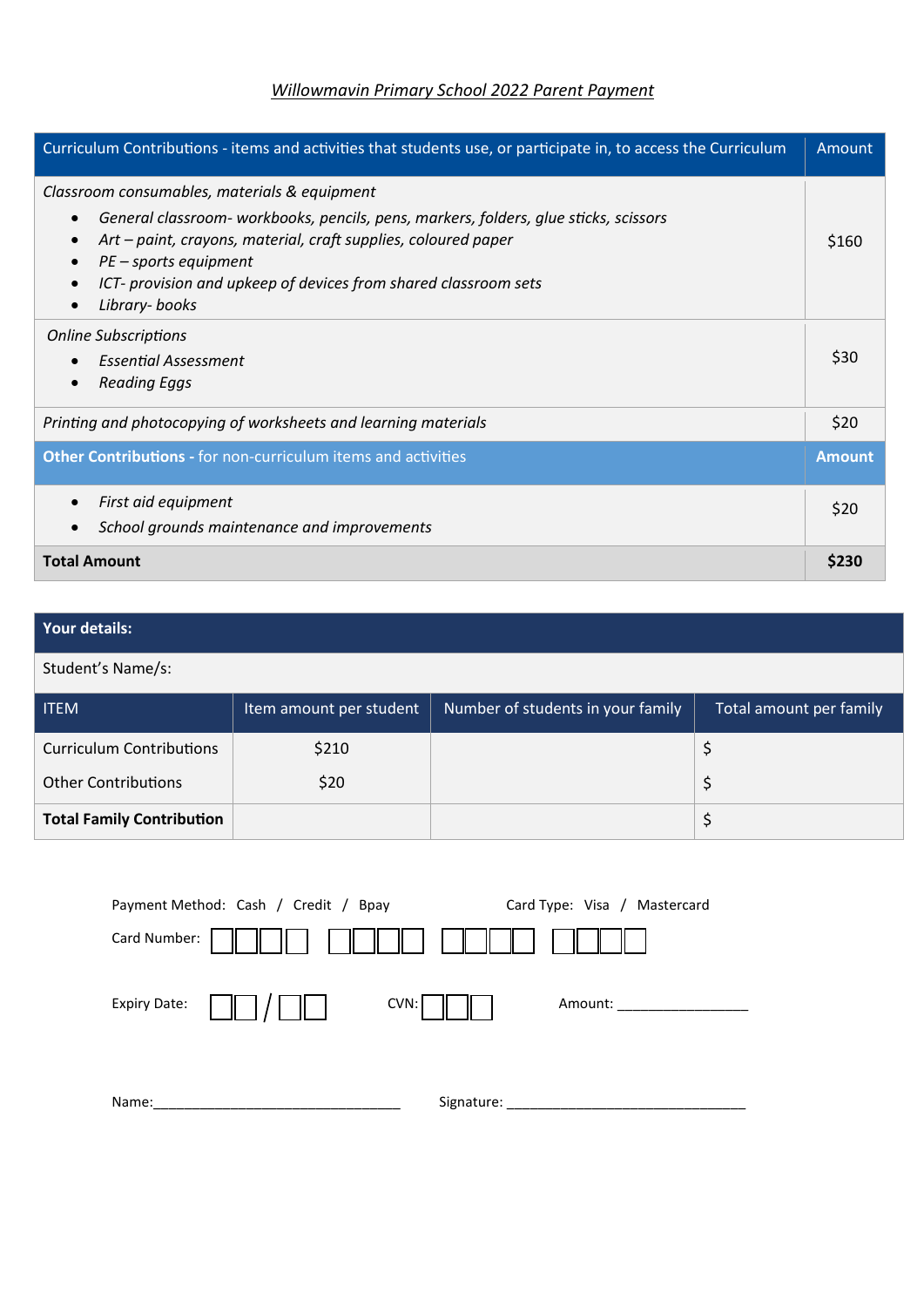# *Willowmavin Primary School 2022 Parent Payment*

| Curriculum Contributions - items and activities that students use, or participate in, to access the Curriculum                                                                                                                                                                                                                                  | Amount        |
|-------------------------------------------------------------------------------------------------------------------------------------------------------------------------------------------------------------------------------------------------------------------------------------------------------------------------------------------------|---------------|
| Classroom consumables, materials & equipment<br>General classroom- workbooks, pencils, pens, markers, folders, glue sticks, scissors<br>$\bullet$<br>Art - paint, crayons, material, craft supplies, coloured paper<br>$PE$ – sports equipment<br>ICT- provision and upkeep of devices from shared classroom sets<br>Library-books<br>$\bullet$ | \$160         |
| <b>Online Subscriptions</b><br><b>Essential Assessment</b><br><b>Reading Eggs</b><br>$\bullet$                                                                                                                                                                                                                                                  | \$30          |
| Printing and photocopying of worksheets and learning materials                                                                                                                                                                                                                                                                                  | \$20          |
| <b>Other Contributions - for non-curriculum items and activities</b>                                                                                                                                                                                                                                                                            | <b>Amount</b> |
| First aid equipment<br>School grounds maintenance and improvements                                                                                                                                                                                                                                                                              | \$20          |
| <b>Total Amount</b>                                                                                                                                                                                                                                                                                                                             | \$230         |

# **Your details:**

Student's Name/s:

| <b>ITEM</b>                      | Item amount per student | Number of students in your family | Total amount per family |
|----------------------------------|-------------------------|-----------------------------------|-------------------------|
| <b>Curriculum Contributions</b>  | \$210                   |                                   |                         |
| <b>Other Contributions</b>       | \$20                    |                                   |                         |
| <b>Total Family Contribution</b> |                         |                                   |                         |

|              | Payment Method: Cash / Credit / Bpay |            | Card Type: Visa / Mastercard |
|--------------|--------------------------------------|------------|------------------------------|
| Card Number: |                                      |            |                              |
| Expiry Date: |                                      | CVN:       | Amount:                      |
| Name:        |                                      | Signature: |                              |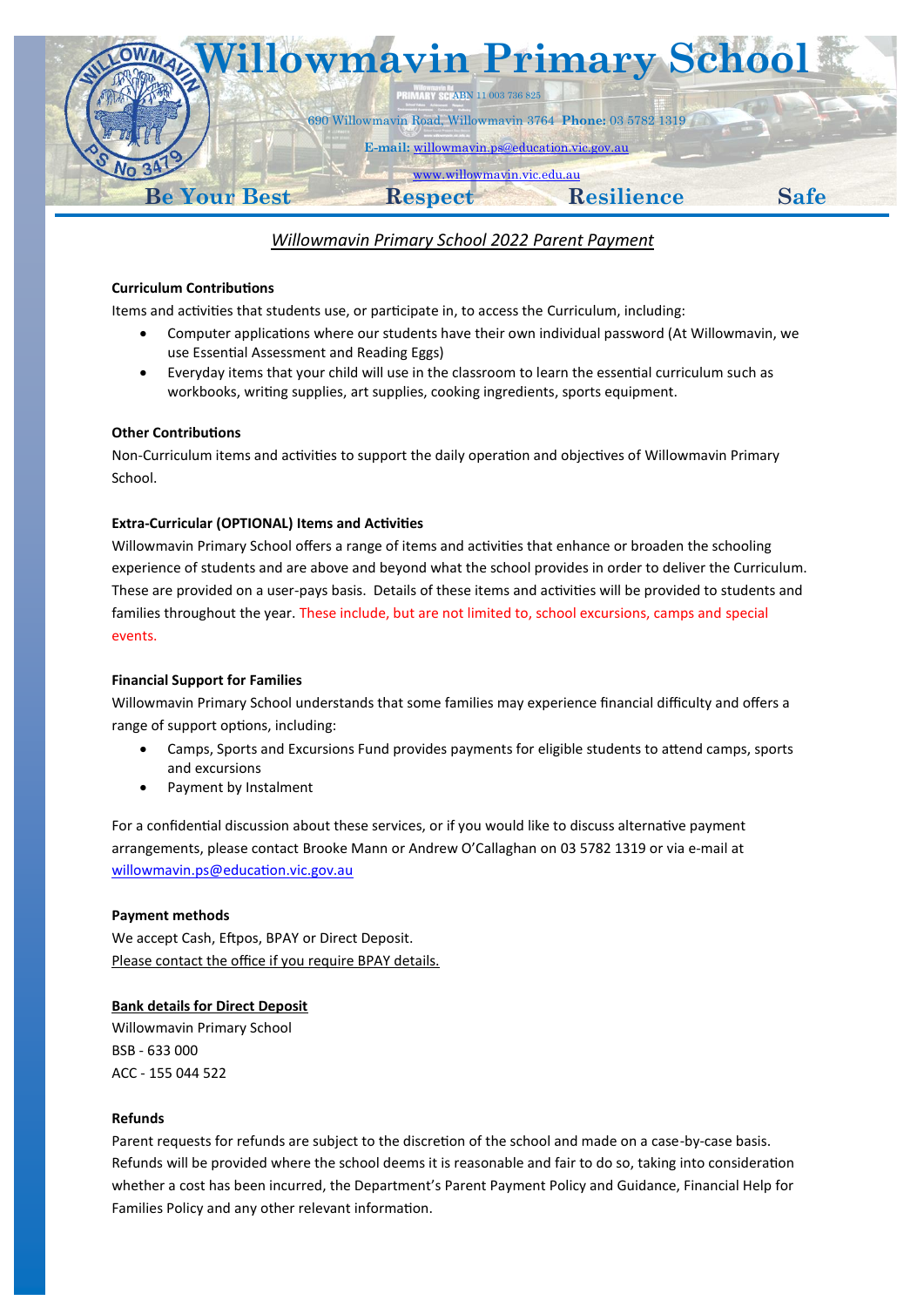

## *Willowmavin Primary School 2022 Parent Payment*

#### **Curriculum Contributions**

Items and activities that students use, or participate in, to access the Curriculum, including:

- Computer applications where our students have their own individual password (At Willowmavin, we use Essential Assessment and Reading Eggs)
- Everyday items that your child will use in the classroom to learn the essential curriculum such as workbooks, writing supplies, art supplies, cooking ingredients, sports equipment.

#### **Other Contributions**

Non-Curriculum items and activities to support the daily operation and objectives of Willowmavin Primary School.

#### **Extra-Curricular (OPTIONAL) Items and Activities**

Willowmavin Primary School offers a range of items and activities that enhance or broaden the schooling experience of students and are above and beyond what the school provides in order to deliver the Curriculum. These are provided on a user-pays basis. Details of these items and activities will be provided to students and families throughout the year. These include, but are not limited to, school excursions, camps and special events.

#### **Financial Support for Families**

Willowmavin Primary School understands that some families may experience financial difficulty and offers a range of support options, including:

- Camps, Sports and Excursions Fund provides payments for eligible students to attend camps, sports and excursions
- Payment by Instalment

For a confidential discussion about these services, or if you would like to discuss alternative payment arrangements, please contact Brooke Mann or Andrew O'Callaghan on 03 5782 1319 or via e-mail at [willowmavin.ps@education.vic.gov.au](mailto:willowmavin.ps@education.vic.gov.au)

#### **Payment methods**

We accept Cash, Eftpos, BPAY or Direct Deposit. Please contact the office if you require BPAY details.

#### **Bank details for Direct Deposit**

Willowmavin Primary School BSB - 633 000 ACC - 155 044 522

#### **Refunds**

Parent requests for refunds are subject to the discretion of the school and made on a case-by-case basis. Refunds will be provided where the school deems it is reasonable and fair to do so, taking into consideration whether a cost has been incurred, the Department's Parent Payment Policy and Guidance, Financial Help for Families Policy and any other relevant information.